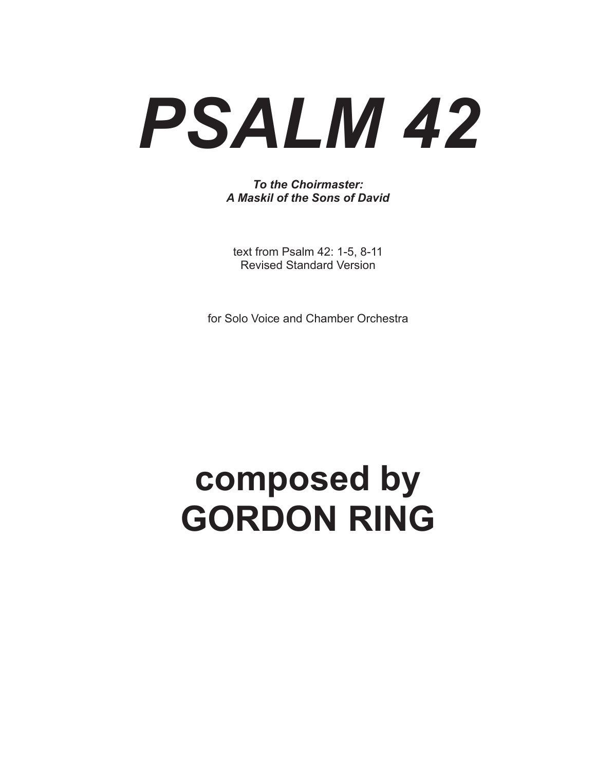## *PSALM 42*

*To the Choirmaster: A Maskil of the Sons of David*

text from Psalm 42: 1-5, 8-11 Revised Standard Version

for Solo Voice and Chamber Orchestra

## **composed by GORDON RING**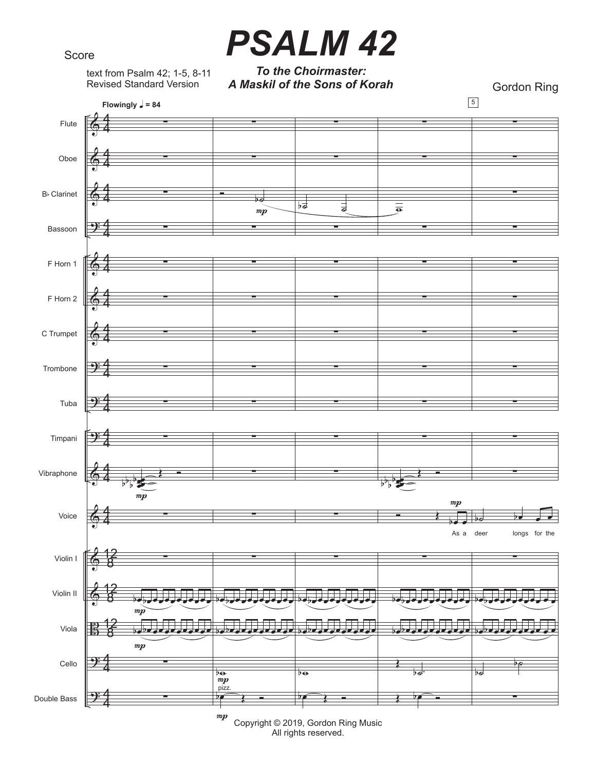## *PSALM 42*

 $\Phi$  $\bm{\Phi}$  $\bm{\bm{\phi}}$ <u>.</u>  $\spadesuit$  $\spadesuit$  $\bm{\bm{\phi}}$  $\overline{9}$  $\overline{\mathbf{P}}$ <u>្</u>  $\bm{\bm{\phi}}$  $\bm{\bm{\phi}}$  $\bm{\bm{\phi}}$  $\spadesuit$ B  $\overline{\cdot}$  $\overline{9}$ 4 4 4 4 4 4 4 4 4 4 4 4 4 4 4 4 4 4 4 4 4 4 4 4 8 12 8 12 8 12 4 4 4 4 Flute Oboe Bb Clarinet Bassoon F Horn 1 F Horn 2 C Trumpet Trombone Tuba Timpani Vibraphone Voice Violin I Violin II Viola Cello Double Bass ∑ ∑ ∑ ∑ ∑ ∑ ∑ ∑ ∑ ∑ œœ œœ b b  $\overline{b}$  $\frac{1}{2}$ ∑ ∑ bœbœœœœœœœœœœœ bœbœœœœœœœœœœœ ∑ ∑  $m$  $p$  $mp$ Flowingly  $\sqrt{ } = 84$  $mp$ ∑ ∑  $\overline{\phantom{a}}$ ∑ ∑ ∑ ∑ ∑ ∑ ∑ ∑ ∑ ∑ bœbœœœœœœœœœœœ bœbœœœœœœœœœœœ  $\overline{\mathbf{p}_{\boldsymbol{\Theta}}}$  $\overline{a}$  $\mathbf{m}$  $mp$  pizz.  $\mathbf{m}$ ∑ ∑  $\overrightarrow{b}$   $\overrightarrow{a}$ ∑ ∑ ∑ ∑ ∑ ∑ ∑ ∑ ∑ ∑ bœbœœœœœœœœœœœ bœbœœœœœœœœœœœ  $\overline{\mathbf{e}}$  $\epsilon$ ∑ ∑  $\overline{a}$ ∑ ∑ ∑ ∑ ∑ ∑ ∑ œœ œœ b b  $\overline{b}$  $\leftarrow$  $\overrightarrow{c}$ As a ∑ be<sub>b</sub>eee ee ee e bœbœœœœœœœœœœœ  $\frac{1}{b}$  $\leftrightarrow$  $mp$ ∑ ∑ ∑ ∑ ∑ ∑ ∑ ∑ ∑ ∑ ∑ <u>bø</u> bø ø ø deer longs for the ∑ be<sub>b</sub>ee e e e e e e b<mark>ebee e e e e e e</mark> e  $\frac{1}{\partial s}$ ∑ 5 *To the Choirmaster:* A Maskil of the Sons of Korah **Gordon Ring** text from Psalm 42; 1-5, 8-11 Revised Standard Version

Copyright © 2019, Gordon Ring Music All rights reserved.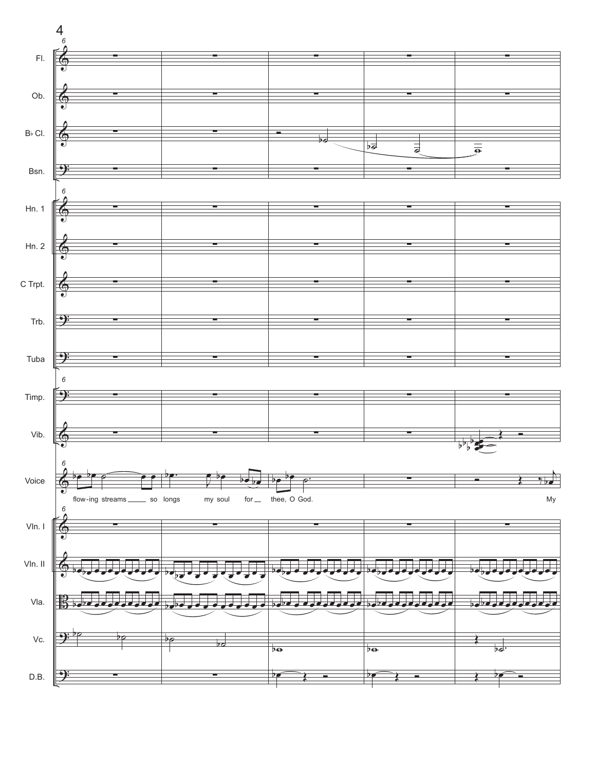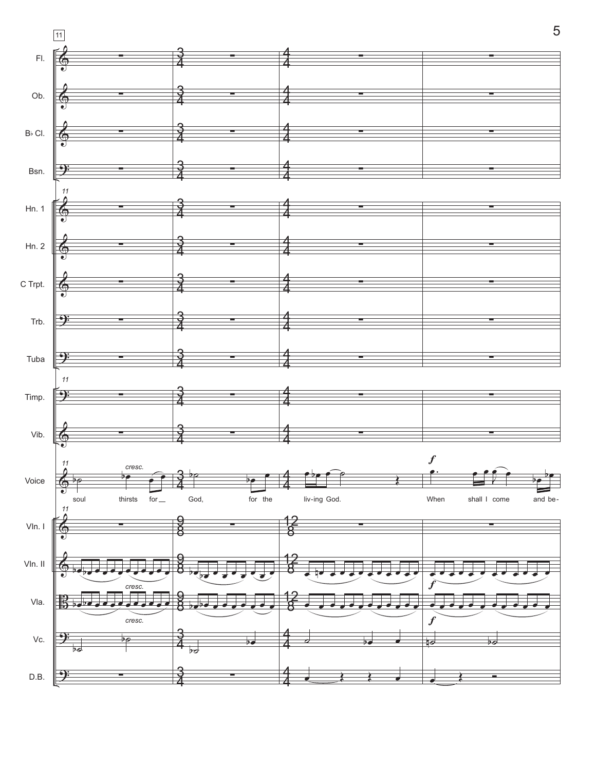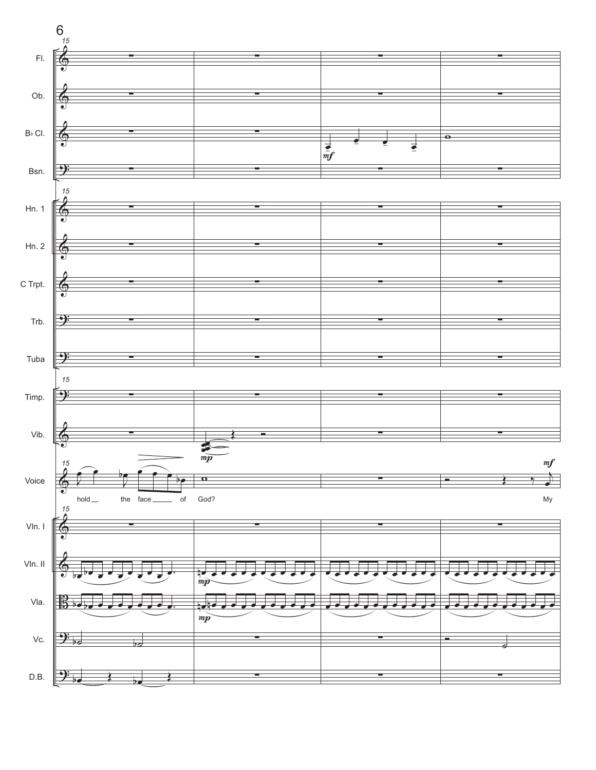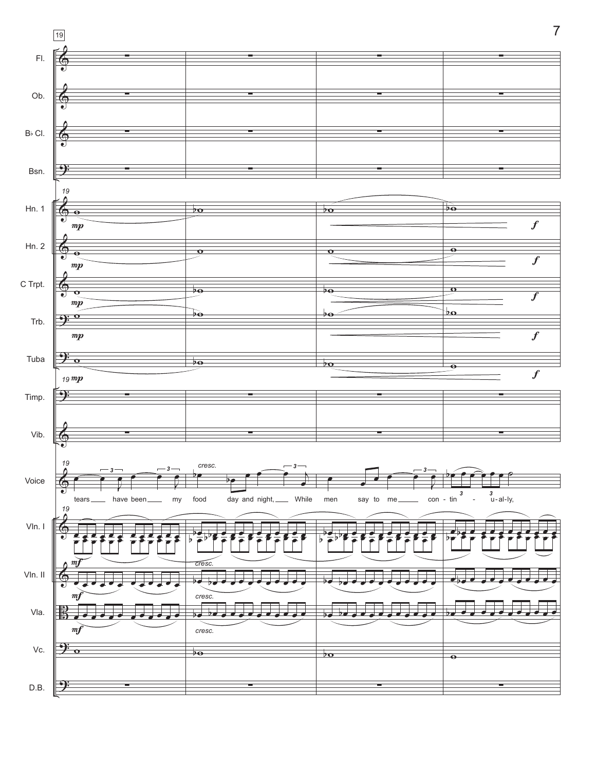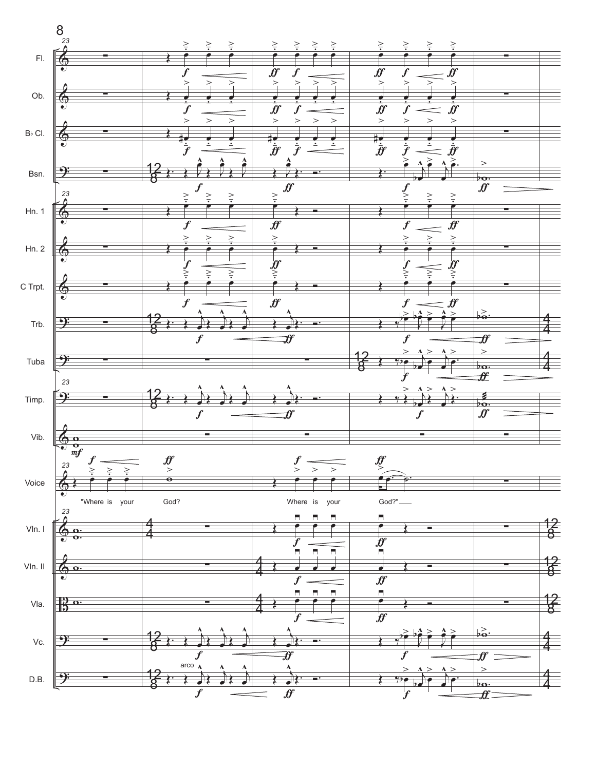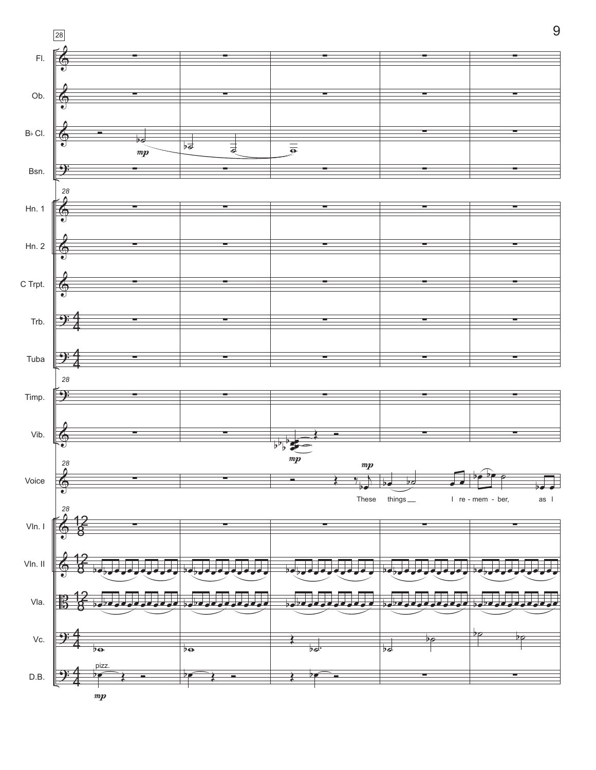

 $\mathbf{m}p$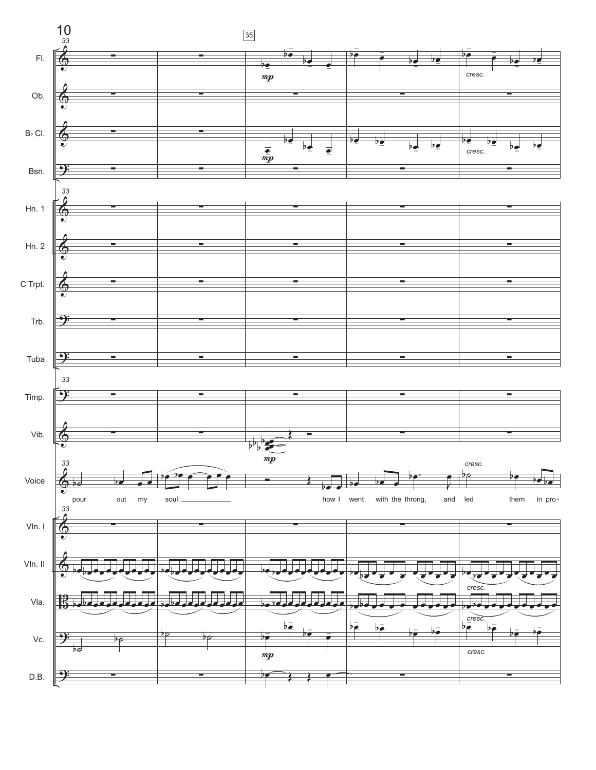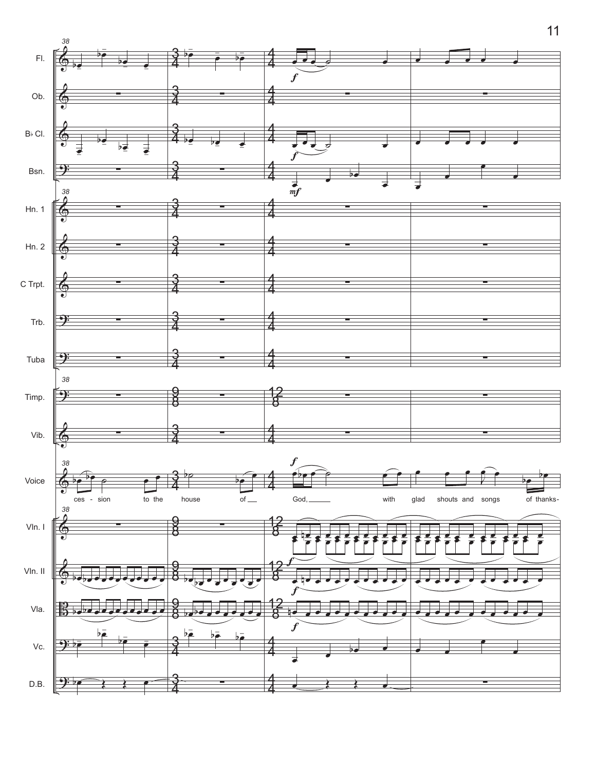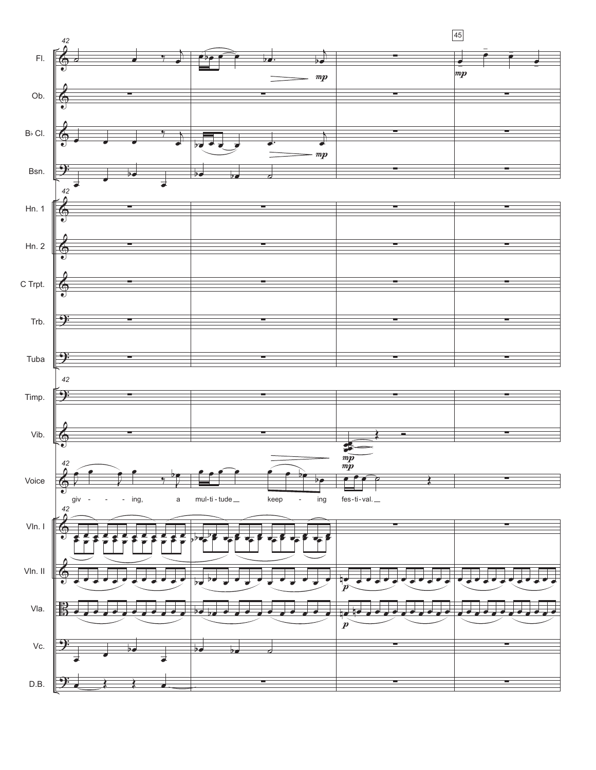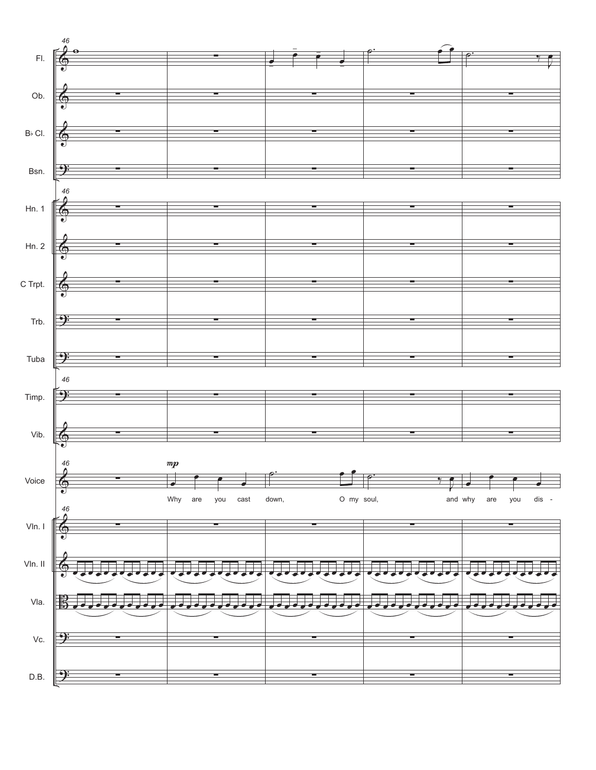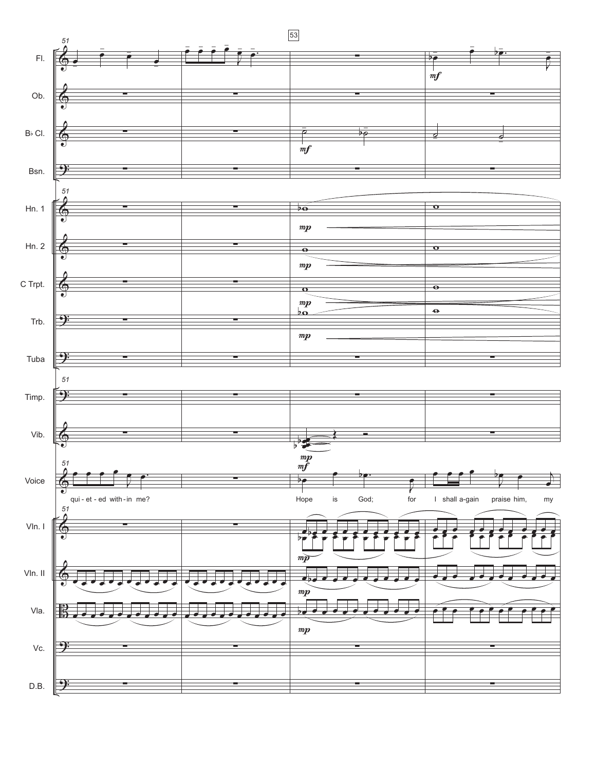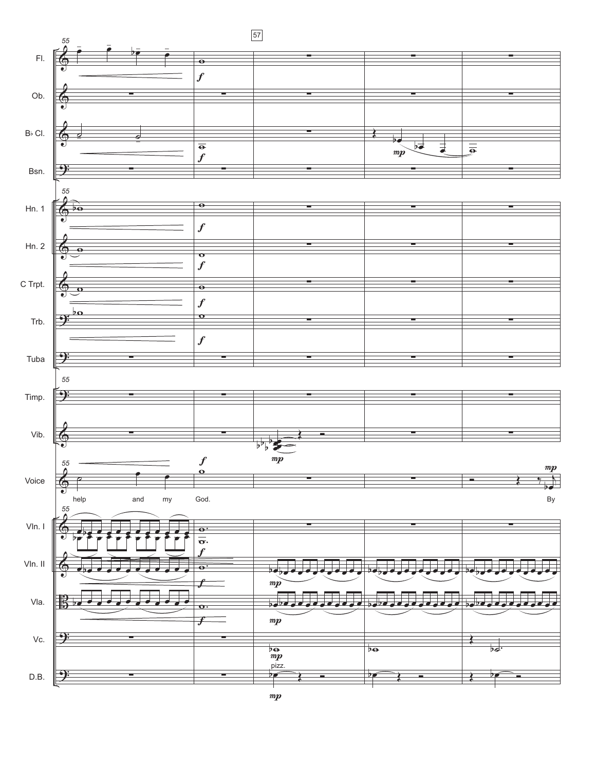

 $\mathbf{m}$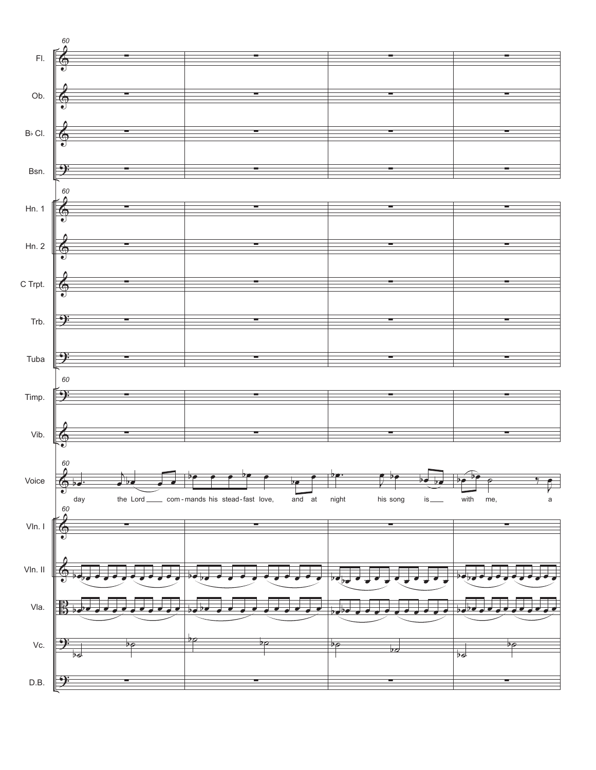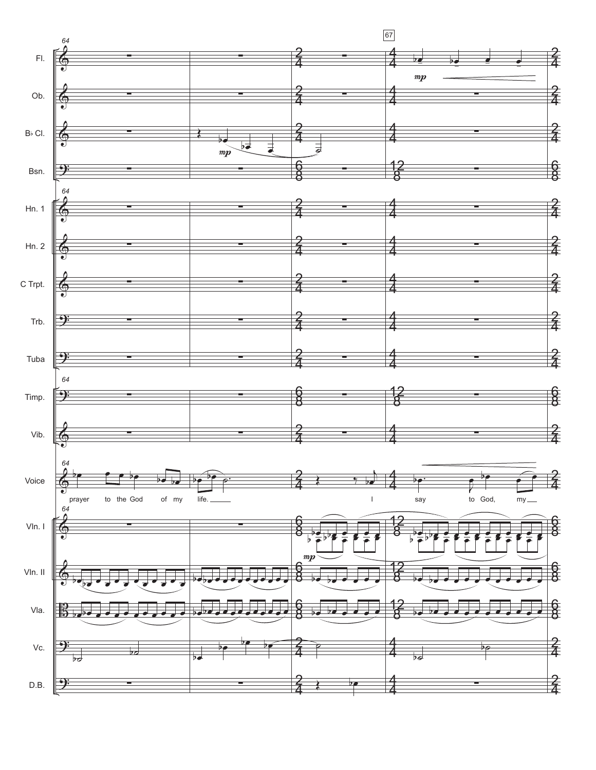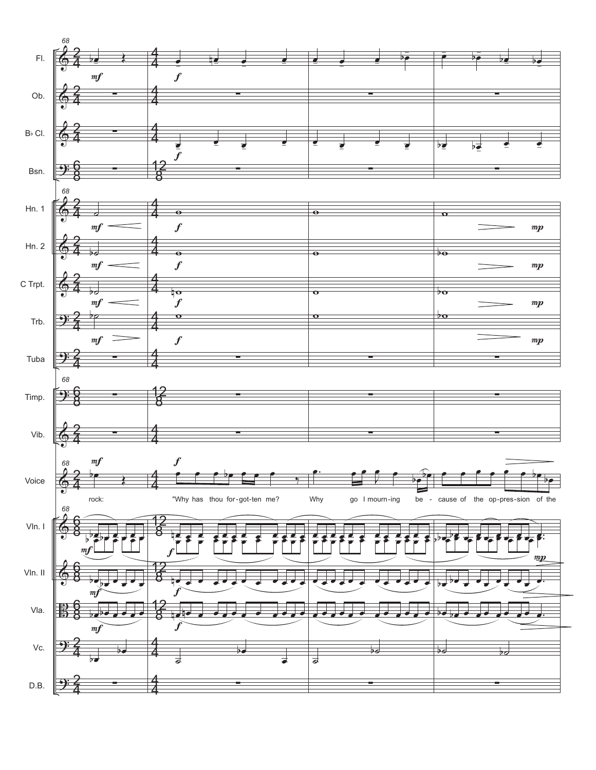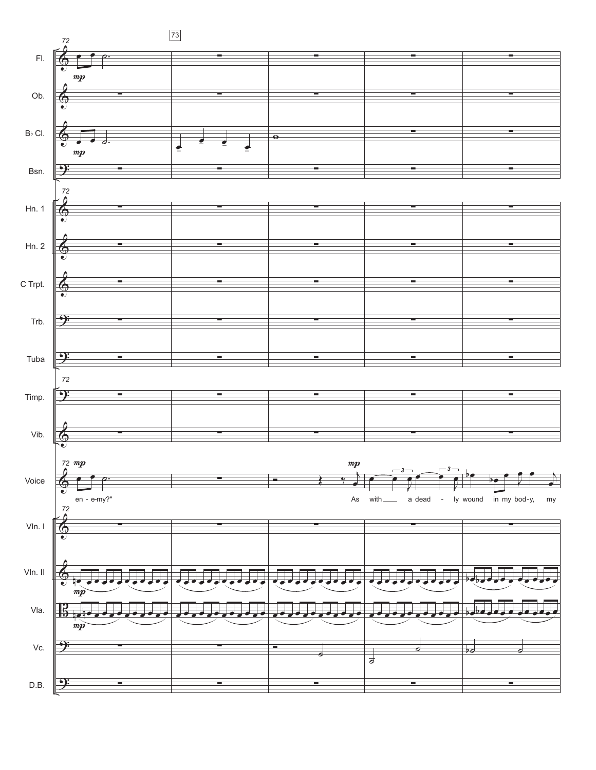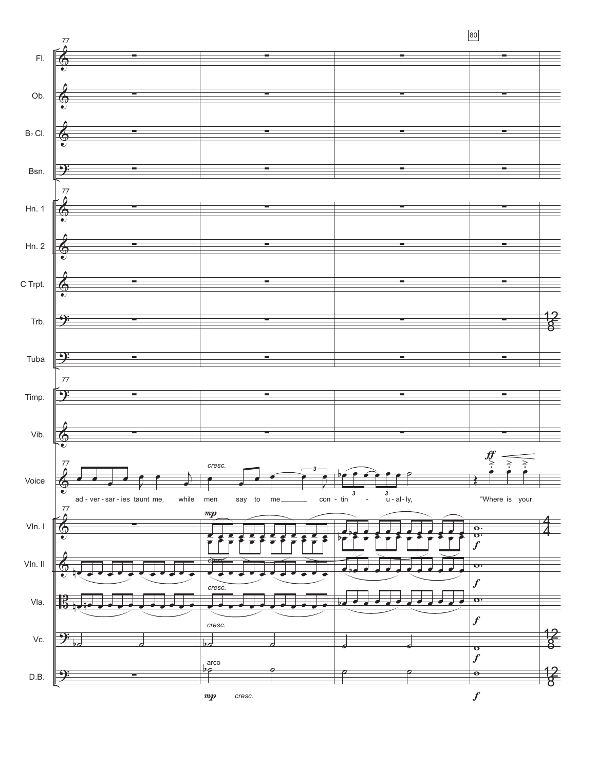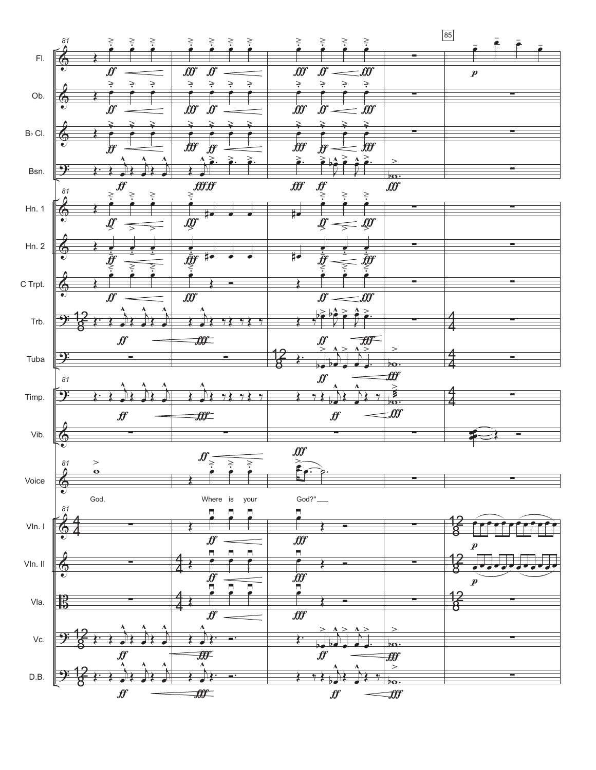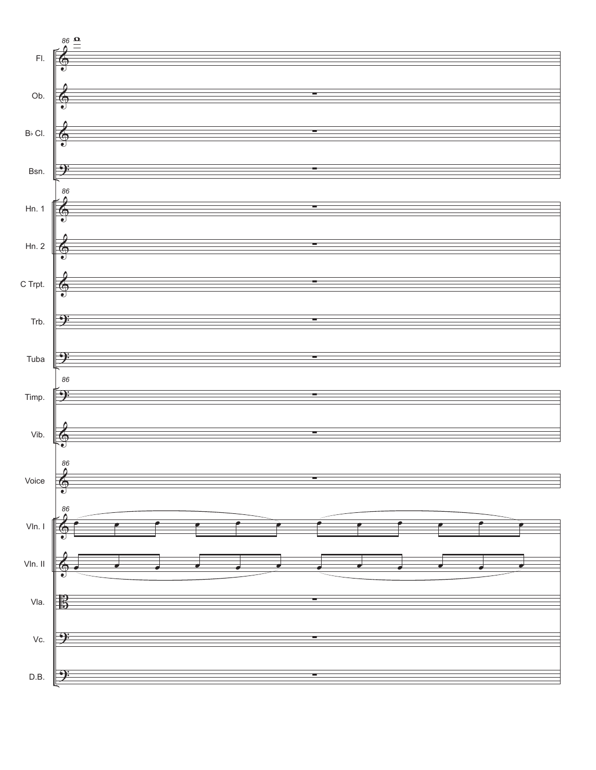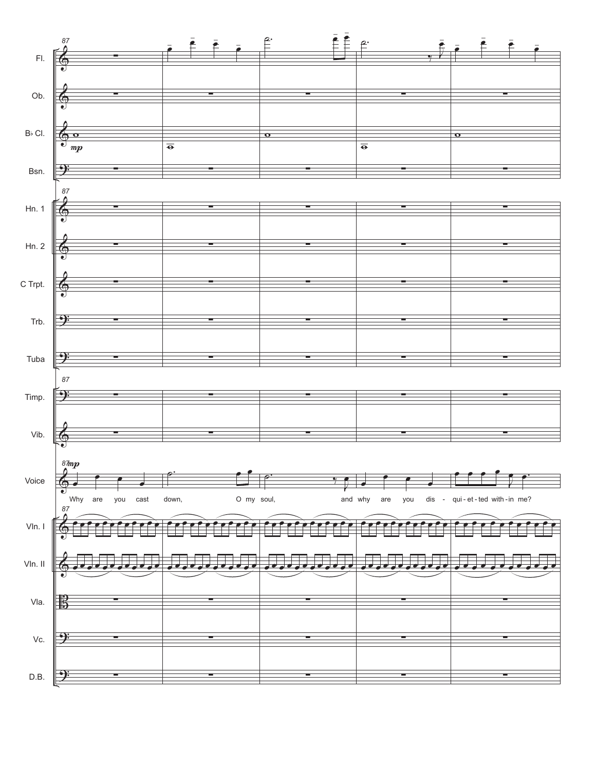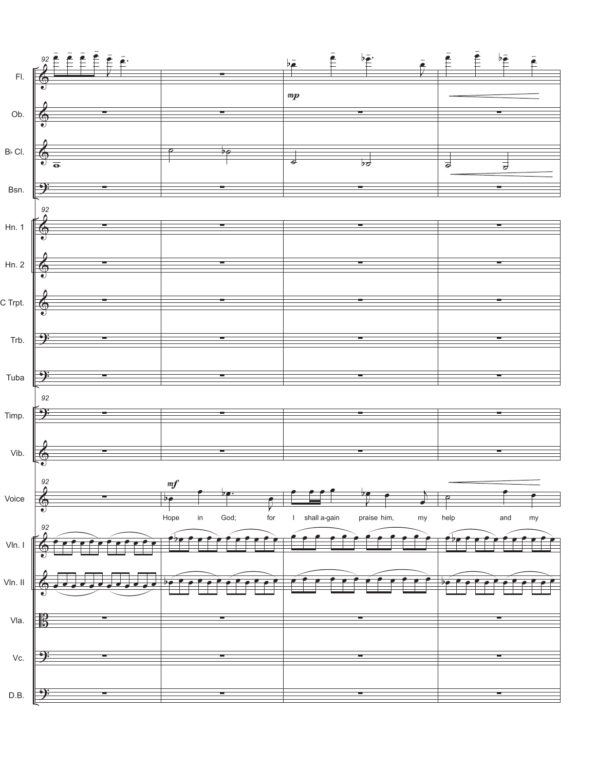